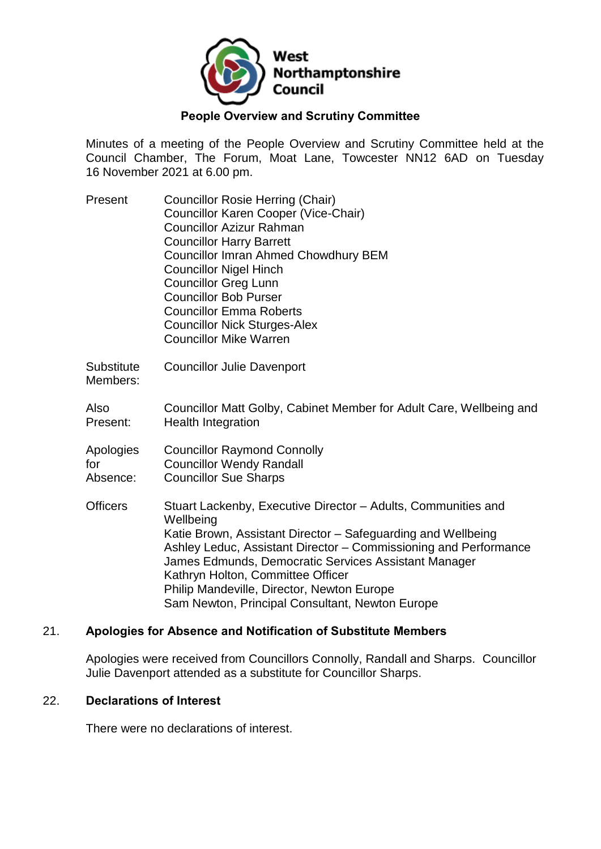

### **People Overview and Scrutiny Committee**

Minutes of a meeting of the People Overview and Scrutiny Committee held at the Council Chamber, The Forum, Moat Lane, Towcester NN12 6AD on Tuesday 16 November 2021 at 6.00 pm.

| Present | <b>Councillor Rosie Herring (Chair)</b>     |
|---------|---------------------------------------------|
|         | Councillor Karen Cooper (Vice-Chair)        |
|         | <b>Councillor Azizur Rahman</b>             |
|         | <b>Councillor Harry Barrett</b>             |
|         | <b>Councillor Imran Ahmed Chowdhury BEM</b> |
|         | <b>Councillor Nigel Hinch</b>               |
|         | <b>Councillor Greg Lunn</b>                 |
|         | <b>Councillor Bob Purser</b>                |
|         | <b>Councillor Emma Roberts</b>              |
|         | <b>Councillor Nick Sturges-Alex</b>         |
|         | <b>Councillor Mike Warren</b>               |

**Substitute** Councillor Julie Davenport

Members:

- 
- Also Present: Councillor Matt Golby, Cabinet Member for Adult Care, Wellbeing and Health Integration
- Apologies for Councillor Raymond Connolly Councillor Wendy Randall
- Absence: Councillor Sue Sharps
- Officers Stuart Lackenby, Executive Director Adults, Communities and **Wellbeing** Katie Brown, Assistant Director – Safeguarding and Wellbeing Ashley Leduc, Assistant Director – Commissioning and Performance James Edmunds, Democratic Services Assistant Manager Kathryn Holton, Committee Officer Philip Mandeville, Director, Newton Europe Sam Newton, Principal Consultant, Newton Europe

### 21. **Apologies for Absence and Notification of Substitute Members**

Apologies were received from Councillors Connolly, Randall and Sharps. Councillor Julie Davenport attended as a substitute for Councillor Sharps.

#### 22. **Declarations of Interest**

There were no declarations of interest.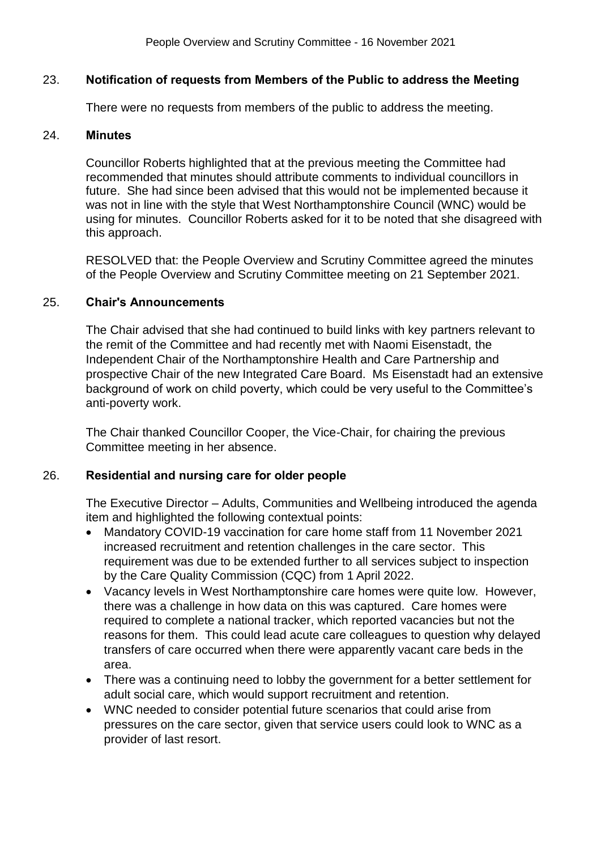### 23. **Notification of requests from Members of the Public to address the Meeting**

There were no requests from members of the public to address the meeting.

#### 24. **Minutes**

Councillor Roberts highlighted that at the previous meeting the Committee had recommended that minutes should attribute comments to individual councillors in future. She had since been advised that this would not be implemented because it was not in line with the style that West Northamptonshire Council (WNC) would be using for minutes. Councillor Roberts asked for it to be noted that she disagreed with this approach.

RESOLVED that: the People Overview and Scrutiny Committee agreed the minutes of the People Overview and Scrutiny Committee meeting on 21 September 2021.

### 25. **Chair's Announcements**

The Chair advised that she had continued to build links with key partners relevant to the remit of the Committee and had recently met with Naomi Eisenstadt, the Independent Chair of the Northamptonshire Health and Care Partnership and prospective Chair of the new Integrated Care Board. Ms Eisenstadt had an extensive background of work on child poverty, which could be very useful to the Committee's anti-poverty work.

The Chair thanked Councillor Cooper, the Vice-Chair, for chairing the previous Committee meeting in her absence.

### 26. **Residential and nursing care for older people**

The Executive Director – Adults, Communities and Wellbeing introduced the agenda item and highlighted the following contextual points:

- Mandatory COVID-19 vaccination for care home staff from 11 November 2021 increased recruitment and retention challenges in the care sector. This requirement was due to be extended further to all services subject to inspection by the Care Quality Commission (CQC) from 1 April 2022.
- Vacancy levels in West Northamptonshire care homes were quite low. However, there was a challenge in how data on this was captured. Care homes were required to complete a national tracker, which reported vacancies but not the reasons for them. This could lead acute care colleagues to question why delayed transfers of care occurred when there were apparently vacant care beds in the area.
- There was a continuing need to lobby the government for a better settlement for adult social care, which would support recruitment and retention.
- WNC needed to consider potential future scenarios that could arise from pressures on the care sector, given that service users could look to WNC as a provider of last resort.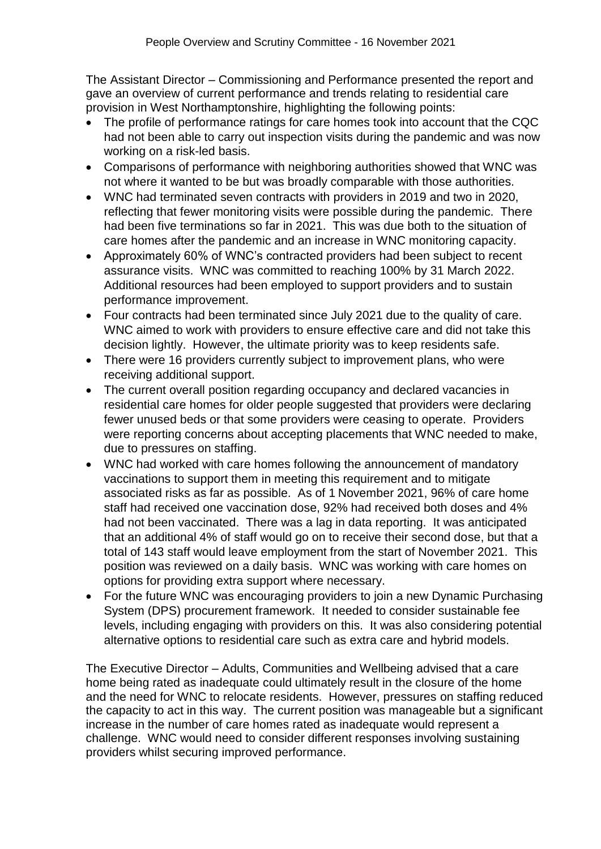The Assistant Director – Commissioning and Performance presented the report and gave an overview of current performance and trends relating to residential care provision in West Northamptonshire, highlighting the following points:

- The profile of performance ratings for care homes took into account that the CQC had not been able to carry out inspection visits during the pandemic and was now working on a risk-led basis.
- Comparisons of performance with neighboring authorities showed that WNC was not where it wanted to be but was broadly comparable with those authorities.
- WNC had terminated seven contracts with providers in 2019 and two in 2020, reflecting that fewer monitoring visits were possible during the pandemic. There had been five terminations so far in 2021. This was due both to the situation of care homes after the pandemic and an increase in WNC monitoring capacity.
- Approximately 60% of WNC's contracted providers had been subject to recent assurance visits. WNC was committed to reaching 100% by 31 March 2022. Additional resources had been employed to support providers and to sustain performance improvement.
- Four contracts had been terminated since July 2021 due to the quality of care. WNC aimed to work with providers to ensure effective care and did not take this decision lightly. However, the ultimate priority was to keep residents safe.
- There were 16 providers currently subject to improvement plans, who were receiving additional support.
- The current overall position regarding occupancy and declared vacancies in residential care homes for older people suggested that providers were declaring fewer unused beds or that some providers were ceasing to operate. Providers were reporting concerns about accepting placements that WNC needed to make, due to pressures on staffing.
- WNC had worked with care homes following the announcement of mandatory vaccinations to support them in meeting this requirement and to mitigate associated risks as far as possible. As of 1 November 2021, 96% of care home staff had received one vaccination dose, 92% had received both doses and 4% had not been vaccinated. There was a lag in data reporting. It was anticipated that an additional 4% of staff would go on to receive their second dose, but that a total of 143 staff would leave employment from the start of November 2021. This position was reviewed on a daily basis. WNC was working with care homes on options for providing extra support where necessary.
- For the future WNC was encouraging providers to join a new Dynamic Purchasing System (DPS) procurement framework. It needed to consider sustainable fee levels, including engaging with providers on this. It was also considering potential alternative options to residential care such as extra care and hybrid models.

The Executive Director – Adults, Communities and Wellbeing advised that a care home being rated as inadequate could ultimately result in the closure of the home and the need for WNC to relocate residents. However, pressures on staffing reduced the capacity to act in this way. The current position was manageable but a significant increase in the number of care homes rated as inadequate would represent a challenge. WNC would need to consider different responses involving sustaining providers whilst securing improved performance.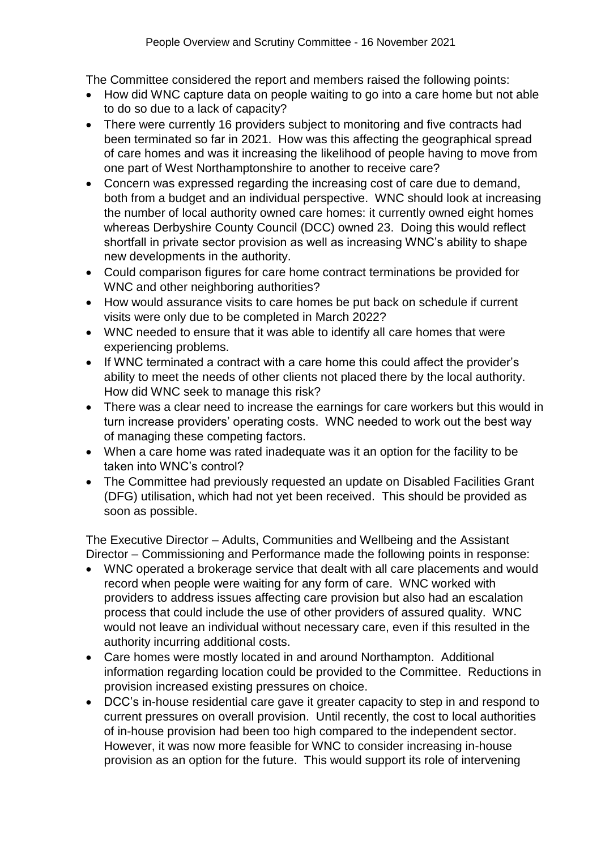The Committee considered the report and members raised the following points:

- How did WNC capture data on people waiting to go into a care home but not able to do so due to a lack of capacity?
- There were currently 16 providers subject to monitoring and five contracts had been terminated so far in 2021. How was this affecting the geographical spread of care homes and was it increasing the likelihood of people having to move from one part of West Northamptonshire to another to receive care?
- Concern was expressed regarding the increasing cost of care due to demand, both from a budget and an individual perspective. WNC should look at increasing the number of local authority owned care homes: it currently owned eight homes whereas Derbyshire County Council (DCC) owned 23. Doing this would reflect shortfall in private sector provision as well as increasing WNC's ability to shape new developments in the authority.
- Could comparison figures for care home contract terminations be provided for WNC and other neighboring authorities?
- How would assurance visits to care homes be put back on schedule if current visits were only due to be completed in March 2022?
- WNC needed to ensure that it was able to identify all care homes that were experiencing problems.
- If WNC terminated a contract with a care home this could affect the provider's ability to meet the needs of other clients not placed there by the local authority. How did WNC seek to manage this risk?
- There was a clear need to increase the earnings for care workers but this would in turn increase providers' operating costs. WNC needed to work out the best way of managing these competing factors.
- When a care home was rated inadequate was it an option for the facility to be taken into WNC's control?
- The Committee had previously requested an update on Disabled Facilities Grant (DFG) utilisation, which had not yet been received. This should be provided as soon as possible.

The Executive Director – Adults, Communities and Wellbeing and the Assistant Director – Commissioning and Performance made the following points in response:

- WNC operated a brokerage service that dealt with all care placements and would record when people were waiting for any form of care. WNC worked with providers to address issues affecting care provision but also had an escalation process that could include the use of other providers of assured quality. WNC would not leave an individual without necessary care, even if this resulted in the authority incurring additional costs.
- Care homes were mostly located in and around Northampton. Additional information regarding location could be provided to the Committee. Reductions in provision increased existing pressures on choice.
- DCC's in-house residential care gave it greater capacity to step in and respond to current pressures on overall provision. Until recently, the cost to local authorities of in-house provision had been too high compared to the independent sector. However, it was now more feasible for WNC to consider increasing in-house provision as an option for the future. This would support its role of intervening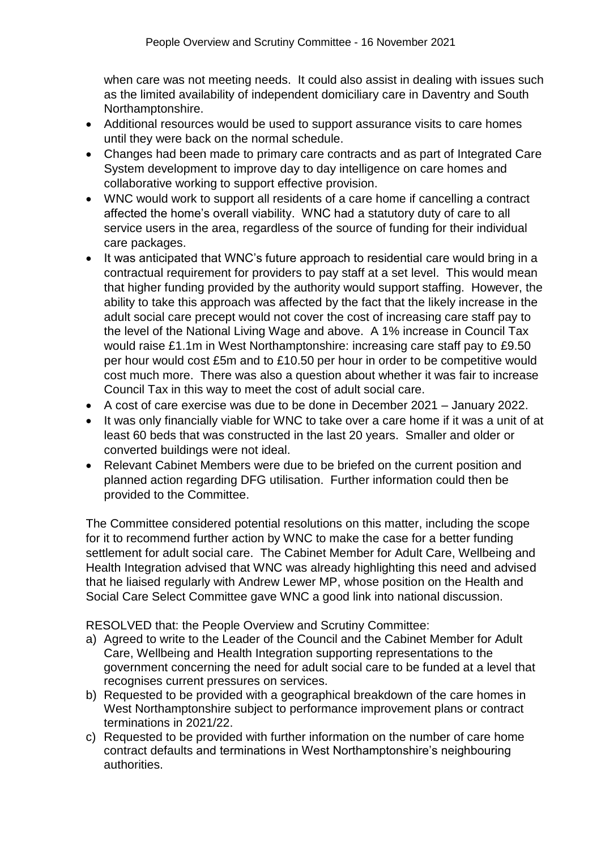when care was not meeting needs. It could also assist in dealing with issues such as the limited availability of independent domiciliary care in Daventry and South Northamptonshire.

- Additional resources would be used to support assurance visits to care homes until they were back on the normal schedule.
- Changes had been made to primary care contracts and as part of Integrated Care System development to improve day to day intelligence on care homes and collaborative working to support effective provision.
- WNC would work to support all residents of a care home if cancelling a contract affected the home's overall viability. WNC had a statutory duty of care to all service users in the area, regardless of the source of funding for their individual care packages.
- It was anticipated that WNC's future approach to residential care would bring in a contractual requirement for providers to pay staff at a set level. This would mean that higher funding provided by the authority would support staffing. However, the ability to take this approach was affected by the fact that the likely increase in the adult social care precept would not cover the cost of increasing care staff pay to the level of the National Living Wage and above. A 1% increase in Council Tax would raise £1.1m in West Northamptonshire: increasing care staff pay to £9.50 per hour would cost £5m and to £10.50 per hour in order to be competitive would cost much more. There was also a question about whether it was fair to increase Council Tax in this way to meet the cost of adult social care.
- A cost of care exercise was due to be done in December 2021 January 2022.
- It was only financially viable for WNC to take over a care home if it was a unit of at least 60 beds that was constructed in the last 20 years. Smaller and older or converted buildings were not ideal.
- Relevant Cabinet Members were due to be briefed on the current position and planned action regarding DFG utilisation. Further information could then be provided to the Committee.

The Committee considered potential resolutions on this matter, including the scope for it to recommend further action by WNC to make the case for a better funding settlement for adult social care. The Cabinet Member for Adult Care, Wellbeing and Health Integration advised that WNC was already highlighting this need and advised that he liaised regularly with Andrew Lewer MP, whose position on the Health and Social Care Select Committee gave WNC a good link into national discussion.

RESOLVED that: the People Overview and Scrutiny Committee:

- a) Agreed to write to the Leader of the Council and the Cabinet Member for Adult Care, Wellbeing and Health Integration supporting representations to the government concerning the need for adult social care to be funded at a level that recognises current pressures on services.
- b) Requested to be provided with a geographical breakdown of the care homes in West Northamptonshire subject to performance improvement plans or contract terminations in 2021/22.
- c) Requested to be provided with further information on the number of care home contract defaults and terminations in West Northamptonshire's neighbouring authorities.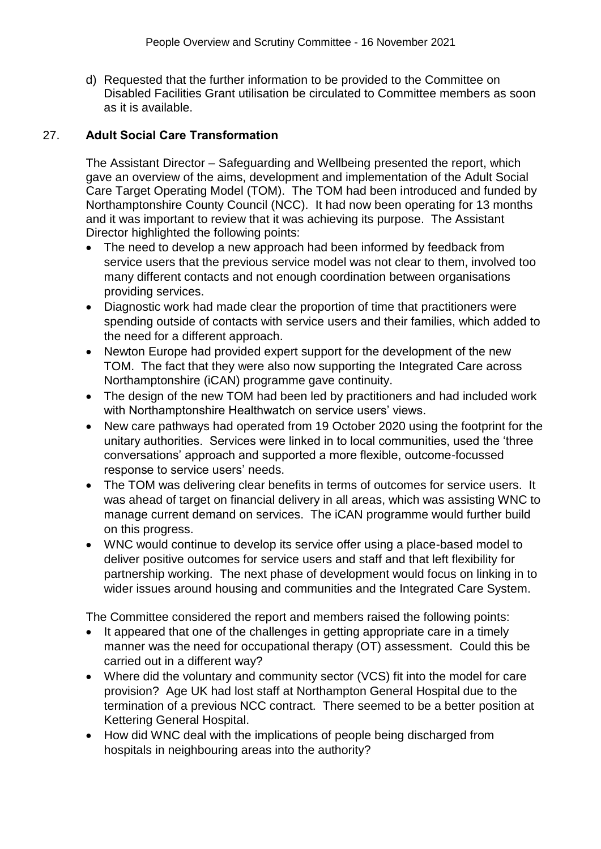d) Requested that the further information to be provided to the Committee on Disabled Facilities Grant utilisation be circulated to Committee members as soon as it is available.

## 27. **Adult Social Care Transformation**

The Assistant Director – Safeguarding and Wellbeing presented the report, which gave an overview of the aims, development and implementation of the Adult Social Care Target Operating Model (TOM). The TOM had been introduced and funded by Northamptonshire County Council (NCC). It had now been operating for 13 months and it was important to review that it was achieving its purpose. The Assistant Director highlighted the following points:

- The need to develop a new approach had been informed by feedback from service users that the previous service model was not clear to them, involved too many different contacts and not enough coordination between organisations providing services.
- Diagnostic work had made clear the proportion of time that practitioners were spending outside of contacts with service users and their families, which added to the need for a different approach.
- Newton Europe had provided expert support for the development of the new TOM. The fact that they were also now supporting the Integrated Care across Northamptonshire (iCAN) programme gave continuity.
- The design of the new TOM had been led by practitioners and had included work with Northamptonshire Healthwatch on service users' views.
- New care pathways had operated from 19 October 2020 using the footprint for the unitary authorities. Services were linked in to local communities, used the 'three conversations' approach and supported a more flexible, outcome-focussed response to service users' needs.
- The TOM was delivering clear benefits in terms of outcomes for service users. It was ahead of target on financial delivery in all areas, which was assisting WNC to manage current demand on services. The iCAN programme would further build on this progress.
- WNC would continue to develop its service offer using a place-based model to deliver positive outcomes for service users and staff and that left flexibility for partnership working. The next phase of development would focus on linking in to wider issues around housing and communities and the Integrated Care System.

The Committee considered the report and members raised the following points:

- It appeared that one of the challenges in getting appropriate care in a timely manner was the need for occupational therapy (OT) assessment. Could this be carried out in a different way?
- Where did the voluntary and community sector (VCS) fit into the model for care provision? Age UK had lost staff at Northampton General Hospital due to the termination of a previous NCC contract. There seemed to be a better position at Kettering General Hospital.
- How did WNC deal with the implications of people being discharged from hospitals in neighbouring areas into the authority?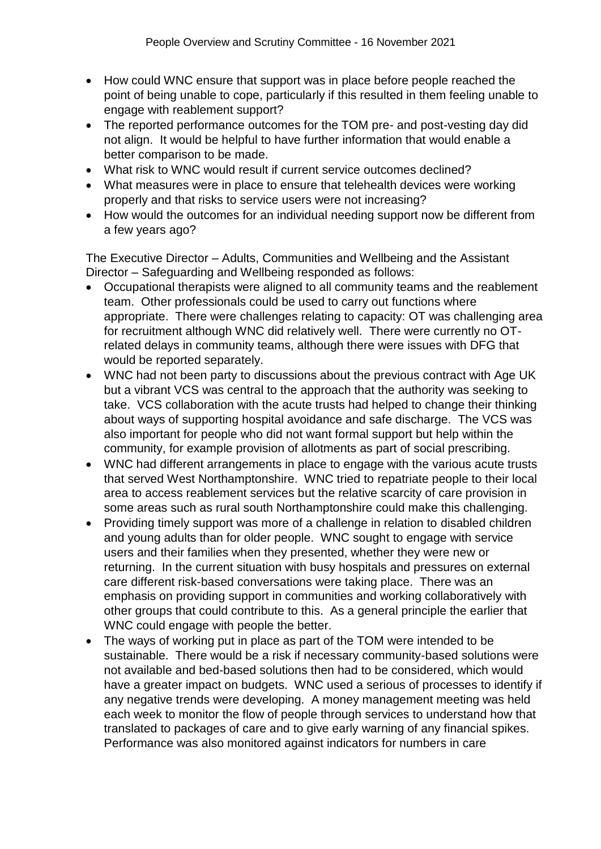- How could WNC ensure that support was in place before people reached the point of being unable to cope, particularly if this resulted in them feeling unable to engage with reablement support?
- The reported performance outcomes for the TOM pre- and post-vesting day did not align. It would be helpful to have further information that would enable a better comparison to be made.
- What risk to WNC would result if current service outcomes declined?
- What measures were in place to ensure that telehealth devices were working properly and that risks to service users were not increasing?
- How would the outcomes for an individual needing support now be different from a few years ago?

The Executive Director – Adults, Communities and Wellbeing and the Assistant Director – Safeguarding and Wellbeing responded as follows:

- Occupational therapists were aligned to all community teams and the reablement team. Other professionals could be used to carry out functions where appropriate. There were challenges relating to capacity: OT was challenging area for recruitment although WNC did relatively well. There were currently no OTrelated delays in community teams, although there were issues with DFG that would be reported separately.
- WNC had not been party to discussions about the previous contract with Age UK but a vibrant VCS was central to the approach that the authority was seeking to take. VCS collaboration with the acute trusts had helped to change their thinking about ways of supporting hospital avoidance and safe discharge. The VCS was also important for people who did not want formal support but help within the community, for example provision of allotments as part of social prescribing.
- WNC had different arrangements in place to engage with the various acute trusts that served West Northamptonshire. WNC tried to repatriate people to their local area to access reablement services but the relative scarcity of care provision in some areas such as rural south Northamptonshire could make this challenging.
- Providing timely support was more of a challenge in relation to disabled children and young adults than for older people. WNC sought to engage with service users and their families when they presented, whether they were new or returning. In the current situation with busy hospitals and pressures on external care different risk-based conversations were taking place. There was an emphasis on providing support in communities and working collaboratively with other groups that could contribute to this. As a general principle the earlier that WNC could engage with people the better.
- The ways of working put in place as part of the TOM were intended to be sustainable. There would be a risk if necessary community-based solutions were not available and bed-based solutions then had to be considered, which would have a greater impact on budgets. WNC used a serious of processes to identify if any negative trends were developing. A money management meeting was held each week to monitor the flow of people through services to understand how that translated to packages of care and to give early warning of any financial spikes. Performance was also monitored against indicators for numbers in care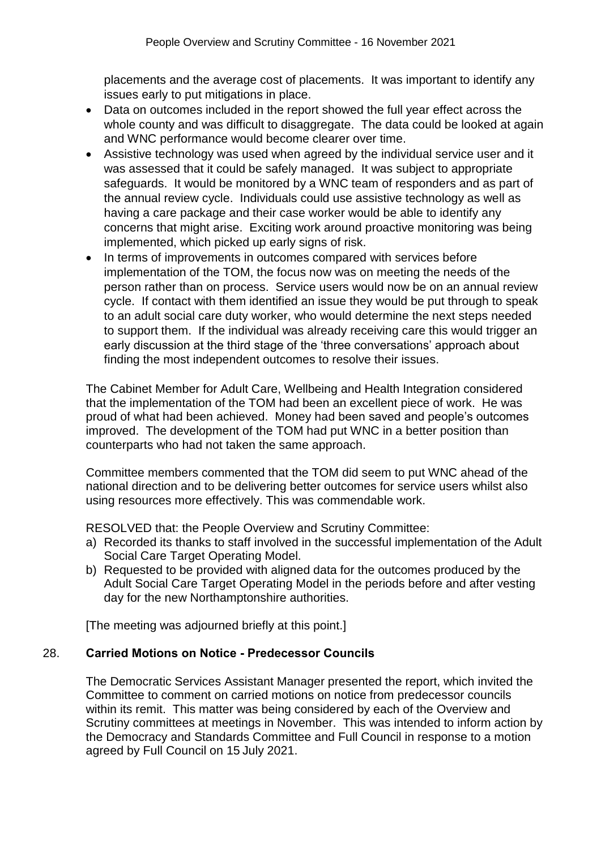placements and the average cost of placements. It was important to identify any issues early to put mitigations in place.

- Data on outcomes included in the report showed the full year effect across the whole county and was difficult to disaggregate. The data could be looked at again and WNC performance would become clearer over time.
- Assistive technology was used when agreed by the individual service user and it was assessed that it could be safely managed. It was subject to appropriate safeguards. It would be monitored by a WNC team of responders and as part of the annual review cycle. Individuals could use assistive technology as well as having a care package and their case worker would be able to identify any concerns that might arise. Exciting work around proactive monitoring was being implemented, which picked up early signs of risk.
- In terms of improvements in outcomes compared with services before implementation of the TOM, the focus now was on meeting the needs of the person rather than on process. Service users would now be on an annual review cycle. If contact with them identified an issue they would be put through to speak to an adult social care duty worker, who would determine the next steps needed to support them. If the individual was already receiving care this would trigger an early discussion at the third stage of the 'three conversations' approach about finding the most independent outcomes to resolve their issues.

The Cabinet Member for Adult Care, Wellbeing and Health Integration considered that the implementation of the TOM had been an excellent piece of work. He was proud of what had been achieved. Money had been saved and people's outcomes improved. The development of the TOM had put WNC in a better position than counterparts who had not taken the same approach.

Committee members commented that the TOM did seem to put WNC ahead of the national direction and to be delivering better outcomes for service users whilst also using resources more effectively. This was commendable work.

RESOLVED that: the People Overview and Scrutiny Committee:

- a) Recorded its thanks to staff involved in the successful implementation of the Adult Social Care Target Operating Model.
- b) Requested to be provided with aligned data for the outcomes produced by the Adult Social Care Target Operating Model in the periods before and after vesting day for the new Northamptonshire authorities.

[The meeting was adjourned briefly at this point.]

### 28. **Carried Motions on Notice - Predecessor Councils**

The Democratic Services Assistant Manager presented the report, which invited the Committee to comment on carried motions on notice from predecessor councils within its remit. This matter was being considered by each of the Overview and Scrutiny committees at meetings in November. This was intended to inform action by the Democracy and Standards Committee and Full Council in response to a motion agreed by Full Council on 15 July 2021.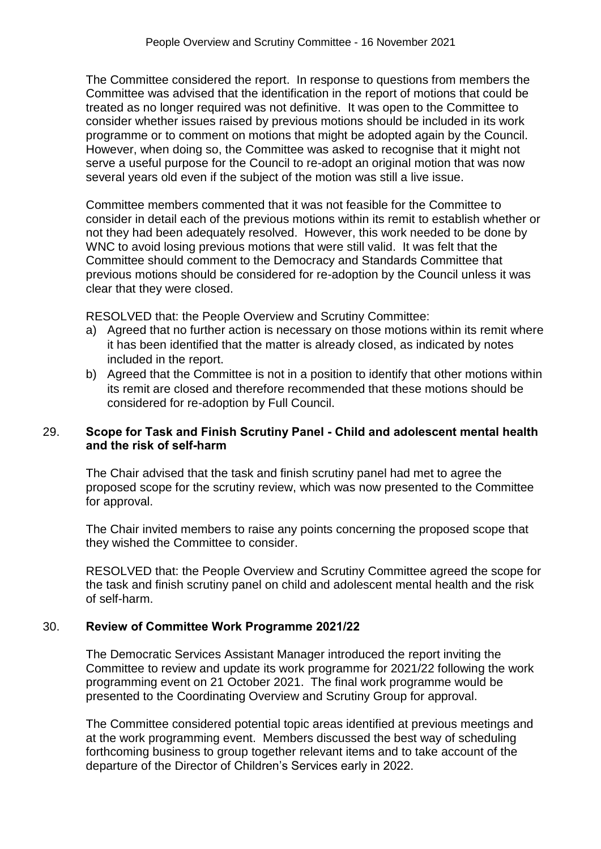The Committee considered the report. In response to questions from members the Committee was advised that the identification in the report of motions that could be treated as no longer required was not definitive. It was open to the Committee to consider whether issues raised by previous motions should be included in its work programme or to comment on motions that might be adopted again by the Council. However, when doing so, the Committee was asked to recognise that it might not serve a useful purpose for the Council to re-adopt an original motion that was now several years old even if the subject of the motion was still a live issue.

Committee members commented that it was not feasible for the Committee to consider in detail each of the previous motions within its remit to establish whether or not they had been adequately resolved. However, this work needed to be done by WNC to avoid losing previous motions that were still valid. It was felt that the Committee should comment to the Democracy and Standards Committee that previous motions should be considered for re-adoption by the Council unless it was clear that they were closed.

RESOLVED that: the People Overview and Scrutiny Committee:

- a) Agreed that no further action is necessary on those motions within its remit where it has been identified that the matter is already closed, as indicated by notes included in the report.
- b) Agreed that the Committee is not in a position to identify that other motions within its remit are closed and therefore recommended that these motions should be considered for re-adoption by Full Council.

## 29. **Scope for Task and Finish Scrutiny Panel - Child and adolescent mental health and the risk of self-harm**

The Chair advised that the task and finish scrutiny panel had met to agree the proposed scope for the scrutiny review, which was now presented to the Committee for approval.

The Chair invited members to raise any points concerning the proposed scope that they wished the Committee to consider.

RESOLVED that: the People Overview and Scrutiny Committee agreed the scope for the task and finish scrutiny panel on child and adolescent mental health and the risk of self-harm.

# 30. **Review of Committee Work Programme 2021/22**

The Democratic Services Assistant Manager introduced the report inviting the Committee to review and update its work programme for 2021/22 following the work programming event on 21 October 2021. The final work programme would be presented to the Coordinating Overview and Scrutiny Group for approval.

The Committee considered potential topic areas identified at previous meetings and at the work programming event. Members discussed the best way of scheduling forthcoming business to group together relevant items and to take account of the departure of the Director of Children's Services early in 2022.